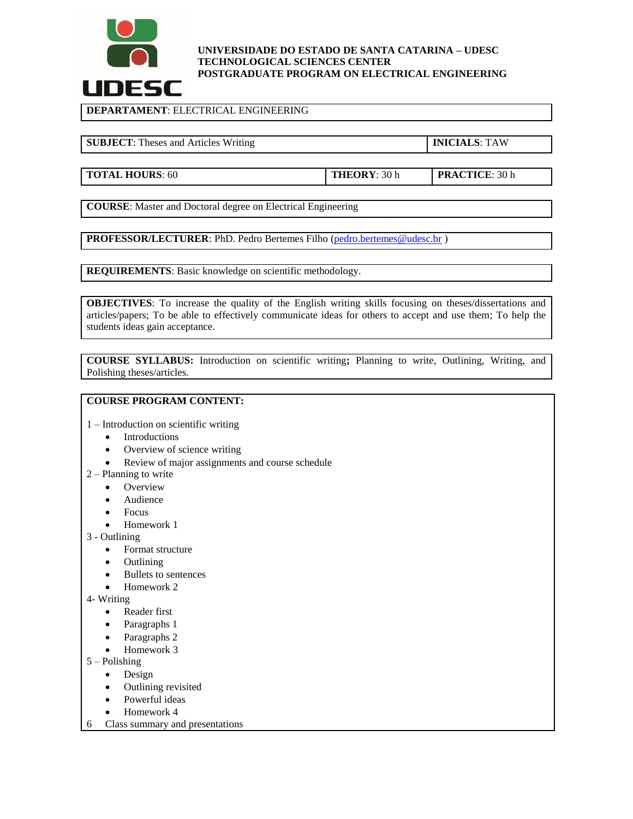

## **UNIVERSIDADE DO ESTADO DE SANTA CATARINA – UDESC TECHNOLOGICAL SCIENCES CENTER POSTGRADUATE PROGRAM ON ELECTRICAL ENGINEERING**

**DEPARTAMENT**: ELECTRICAL ENGINEERING

**SUBJECT**: Theses and Articles Writing **INICIALS**: TAW

**TOTAL HOURS**: 60 **THEORY**: 30 h **PRACTICE**: 30 h

**COURSE**: Master and Doctoral degree on Electrical Engineering

**PROFESSOR/LECTURER:** PhD. Pedro Bertemes Filho [\(pedro.bertemes@udesc.br](mailto:pedro.bertemes@udesc.br))

**REQUIREMENTS**: Basic knowledge on scientific methodology.

**OBJECTIVES:** To increase the quality of the English writing skills focusing on theses/dissertations and articles/papers; To be able to effectively communicate ideas for others to accept and use them; To help the students ideas gain acceptance.

**COURSE SYLLABUS:** Introduction on scientific writing**;** Planning to write, Outlining, Writing, and Polishing theses/articles.

## **COURSE PROGRAM CONTENT:**

1 – Introduction on scientific writing

- Introductions
- Overview of science writing
- Review of major assignments and course schedule
- 2 Planning to write
	- Overview
	- Audience
	- Focus
	- Homework 1
- 3 Outlining
	- Format structure
	- **Outlining**
	- Bullets to sentences
	- Homework 2
- 4- Writing
	- Reader first
	- Paragraphs 1
	- Paragraphs 2
	- Homework 3
- 5 Polishing
	- Design
	- Outlining revisited
	- Powerful ideas
	- Homework 4
- 6 Class summary and presentations